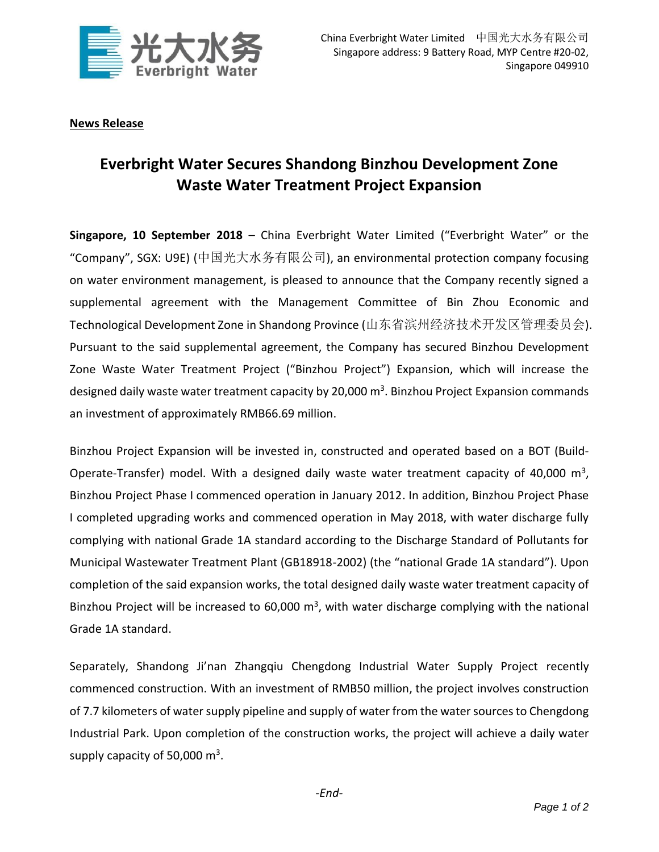

**News Release**

## **Everbright Water Secures Shandong Binzhou Development Zone Waste Water Treatment Project Expansion**

**Singapore, 10 September 2018** – China Everbright Water Limited ("Everbright Water" or the "Company", SGX: U9E) (中国光大水务有限公司), an environmental protection company focusing on water environment management, is pleased to announce that the Company recently signed a supplemental agreement with the Management Committee of Bin Zhou Economic and Technological Development Zone in Shandong Province (山东省滨州经济技术开发区管理委员会). Pursuant to the said supplemental agreement, the Company has secured Binzhou Development Zone Waste Water Treatment Project ("Binzhou Project") Expansion, which will increase the designed daily waste water treatment capacity by 20,000 m<sup>3</sup>. Binzhou Project Expansion commands an investment of approximately RMB66.69 million.

Binzhou Project Expansion will be invested in, constructed and operated based on a BOT (Build-Operate-Transfer) model. With a designed daily waste water treatment capacity of 40,000  $m^3$ , Binzhou Project Phase I commenced operation in January 2012. In addition, Binzhou Project Phase I completed upgrading works and commenced operation in May 2018, with water discharge fully complying with national Grade 1A standard according to the Discharge Standard of Pollutants for Municipal Wastewater Treatment Plant (GB18918-2002) (the "national Grade 1A standard"). Upon completion of the said expansion works, the total designed daily waste water treatment capacity of Binzhou Project will be increased to 60,000  $m<sup>3</sup>$ , with water discharge complying with the national Grade 1A standard.

Separately, Shandong Ji'nan Zhangqiu Chengdong Industrial Water Supply Project recently commenced construction. With an investment of RMB50 million, the project involves construction of 7.7 kilometers of water supply pipeline and supply of water from the water sources to Chengdong Industrial Park. Upon completion of the construction works, the project will achieve a daily water supply capacity of 50,000  $\text{m}^3$ .